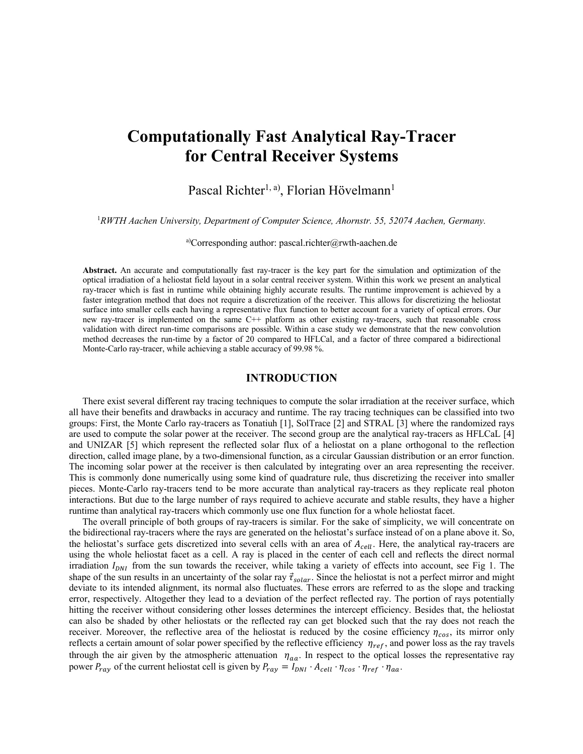# **Computationally Fast Analytical Ray-Tracer for Central Receiver Systems**

Pascal Richter<sup>1, a)</sup>, Florian Hövelmann<sup>1</sup>

1 *RWTH Aachen University, Department of Computer Science, Ahornstr. 55, 52074 Aachen, Germany.*

a)Corresponding author: pascal.richter@rwth-aachen.de

**Abstract.** An accurate and computationally fast ray-tracer is the key part for the simulation and optimization of the optical irradiation of a heliostat field layout in a solar central receiver system. Within this work we present an analytical ray-tracer which is fast in runtime while obtaining highly accurate results. The runtime improvement is achieved by a faster integration method that does not require a discretization of the receiver. This allows for discretizing the heliostat surface into smaller cells each having a representative flux function to better account for a variety of optical errors. Our new ray-tracer is implemented on the same C++ platform as other existing ray-tracers, such that reasonable cross validation with direct run-time comparisons are possible. Within a case study we demonstrate that the new convolution method decreases the run-time by a factor of  $20$  compared to HFLCal, and a factor of three compared a bidirectional Monte-Carlo ray-tracer, while achieving a stable accuracy of 99.98 %.

### **INTRODUCTION**

There exist several different ray tracing techniques to compute the solar irradiation at the receiver surface, which all have their benefits and drawbacks in accuracy and runtime. The ray tracing techniques can be classified into two groups: First, the Monte Carlo ray-tracers as Tonatiuh [1], SolTrace [2] and STRAL [3] where the randomized rays are used to compute the solar power at the receiver. The second group are the analytical ray-tracers as HFLCaL [4] and UNIZAR [5] which represent the reflected solar flux of a heliostat on a plane orthogonal to the reflection direction, called image plane, by a two-dimensional function, as a circular Gaussian distribution or an error function. The incoming solar power at the receiver is then calculated by integrating over an area representing the receiver. This is commonly done numerically using some kind of quadrature rule, thus discretizing the receiver into smaller pieces. Monte-Carlo ray-tracers tend to be more accurate than analytical ray-tracers as they replicate real photon interactions. But due to the large number of rays required to achieve accurate and stable results, they have a higher runtime than analytical ray-tracers which commonly use one flux function for a whole heliostat facet.

The overall principle of both groups of ray-tracers is similar. For the sake of simplicity, we will concentrate on the bidirectional ray-tracers where the rays are generated on the heliostat's surface instead of on a plane above it. So, the heliostat's surface gets discretized into several cells with an area of  $A_{cell}$ . Here, the analytical ray-tracers are using the whole heliostat facet as a cell. A ray is placed in the center of each cell and reflects the direct normal irradiation  $I_{DNI}$  from the sun towards the receiver, while taking a variety of effects into account, see Fig 1. The shape of the sun results in an uncertainty of the solar ray  $\vec{\tau}_{solar}$ . Since the heliostat is not a perfect mirror and might deviate to its intended alignment, its normal also fluctuates. These errors are referred to as the slope and tracking error, respectively. Altogether they lead to a deviation of the perfect reflected ray. The portion of rays potentially hitting the receiver without considering other losses determines the intercept efficiency. Besides that, the heliostat can also be shaded by other heliostats or the reflected ray can get blocked such that the ray does not reach the receiver. Moreover, the reflective area of the heliostat is reduced by the cosine efficiency  $\eta_{cos}$ , its mirror only reflects a certain amount of solar power specified by the reflective efficiency  $\eta_{ref}$ , and power loss as the ray travels through the air given by the atmospheric attenuation  $\eta_{aa}$ . In respect to the optical losses the representative ray power  $P_{ray}$  of the current heliostat cell is given by  $P_{ray} = I_{DNI} \cdot A_{cell} \cdot \eta_{cos} \cdot \eta_{ref} \cdot \eta_{aa}$ .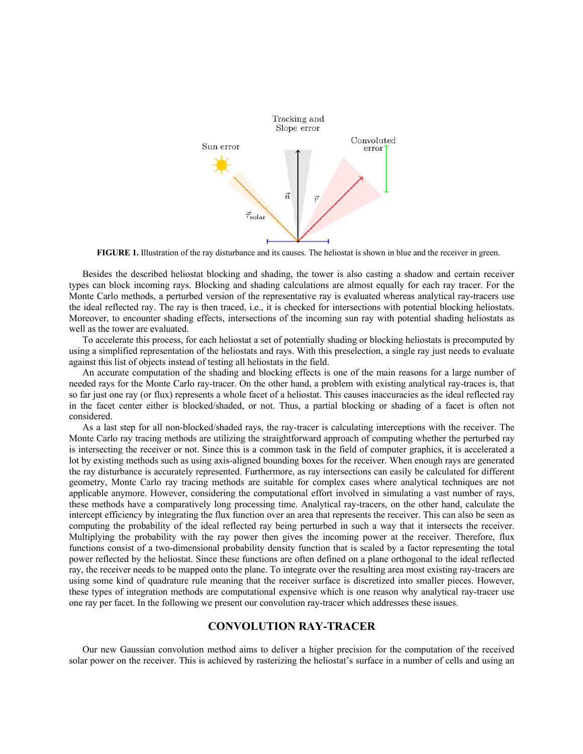

**FIGURE 1.** Illustration of the ray disturbance and its causes. The heliostat is shown in blue and the receiver in green.

Besides the described heliostat blocking and shading, the tower is also casting a shadow and certain receiver types can block incoming rays. Blocking and shading calculations are almost equally for each ray tracer. For the Monte Carlo methods, a perturbed version of the representative ray is evaluated whereas analytical ray-tracers use the ideal reflected ray. The ray is then traced, i.e., it is checked for intersections with potential blocking heliostats. Moreover, to encounter shading effects, intersections of the incoming sun ray with potential shading heliostats as well as the tower are evaluated.

To accelerate this process, for each heliostat a set of potentially shading or blocking heliostats is precomputed by using a simplified representation of the heliostats and rays. With this preselection, a single ray just needs to evaluate against this list of objects instead of testing all heliostats in the field.

An accurate computation of the shading and blocking effects is one of the main reasons for a large number of needed rays for the Monte Carlo ray-tracer. On the other hand, a problem with existing analytical ray-traces is, that so far just one ray (or flux) represents a whole facet of a heliostat. This causes inaccuracies as the ideal reflected ray in the facet center either is blocked/shaded, or not. Thus, a partial blocking or shading of a facet is often not considered.

As a last step for all non-blocked/shaded rays, the ray-tracer is calculating interceptions with the receiver. The Monte Carlo ray tracing methods are utilizing the straightforward approach of computing whether the perturbed ray is intersecting the receiver or not. Since this is a common task in the field of computer graphics, it is accelerated a lot by existing methods such as using axis-aligned bounding boxes for the receiver. When enough rays are generated the ray disturbance is accurately represented. Furthermore, as ray intersections can easily be calculated for different geometry, Monte Carlo ray tracing methods are suitable for complex cases where analytical techniques are not applicable anymore. However, considering the computational effort involved in simulating a vast number of rays, these methods have a comparatively long processing time. Analytical ray-tracers, on the other hand, calculate the intercept efficiency by integrating the flux function over an area that represents the receiver. This can also be seen as computing the probability of the ideal reflected ray being perturbed in such a way that it intersects the receiver. Multiplying the probability with the ray power then gives the incoming power at the receiver. Therefore, flux functions consist of a two-dimensional probability density function that is scaled by a factor representing the total power reflected by the heliostat. Since these functions are often defined on a plane orthogonal to the ideal reflected ray, the receiver needs to be mapped onto the plane. To integrate over the resulting area most existing ray-tracers are using some kind of quadrature rule meaning that the receiver surface is discretized into smaller pieces. However, these types of integration methods are computational expensive which is one reason why analytical ray-tracer use one ray per facet. In the following we present our convolution ray-tracer which addresses these issues.

## **CONVOLUTION RAY-TRACER**

Our new Gaussian convolution method aims to deliver a higher precision for the computation of the received solar power on the receiver. This is achieved by rasterizing the heliostat's surface in a number of cells and using an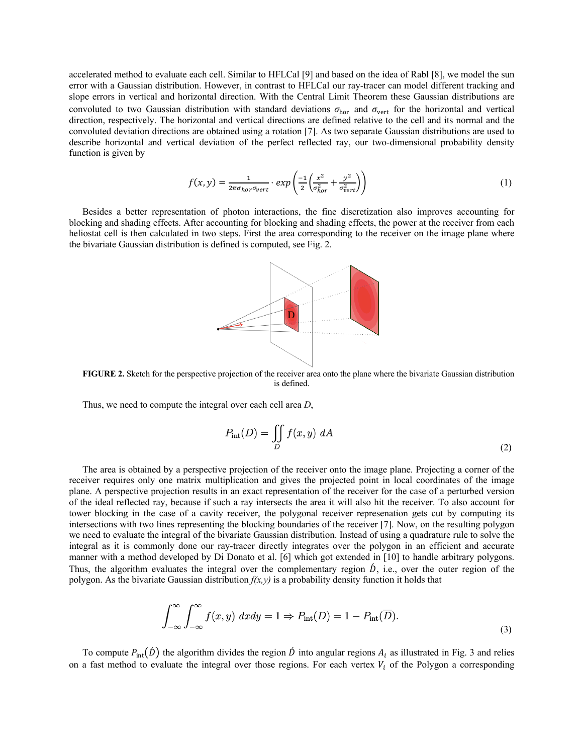accelerated method to evaluate each cell. Similar to HFLCal [9] and based on the idea of Rabl [8], we model the sun error with a Gaussian distribution. However, in contrast to HFLCal our ray-tracer can model different tracking and slope errors in vertical and horizontal direction. With the Central Limit Theorem these Gaussian distributions are convoluted to two Gaussian distribution with standard deviations  $\sigma_{hor}$  and  $\sigma_{vert}$  for the horizontal and vertical direction, respectively. The horizontal and vertical directions are defined relative to the cell and its normal and the convoluted deviation directions are obtained using a rotation [7]. As two separate Gaussian distributions are used to describe horizontal and vertical deviation of the perfect reflected ray, our two-dimensional probability density function is given by

$$
f(x,y) = \frac{1}{2\pi\sigma_{hor}\sigma_{vert}} \cdot exp\left(\frac{-1}{2}\left(\frac{x^2}{\sigma_{hor}^2} + \frac{y^2}{\sigma_{vert}^2}\right)\right)
$$
 (1)

Besides a better representation of photon interactions, the fine discretization also improves accounting for blocking and shading effects. After accounting for blocking and shading effects, the power at the receiver from each heliostat cell is then calculated in two steps. First the area corresponding to the receiver on the image plane where the bivariate Gaussian distribution is defined is computed, see Fig. 2.



**FIGURE 2.** Sketch for the perspective projection of the receiver area onto the plane where the bivariate Gaussian distribution is defined.

Thus, we need to compute the integral over each cell area *D*,

$$
P_{\rm int}(D) = \iint\limits_D f(x, y) \ dA \tag{2}
$$

The area is obtained by a perspective projection of the receiver onto the image plane. Projecting a corner of the receiver requires only one matrix multiplication and gives the projected point in local coordinates of the image plane. A perspective projection results in an exact representation of the receiver for the case of a perturbed version of the ideal reflected ray, because if such a ray intersects the area it will also hit the receiver. To also account for tower blocking in the case of a cavity receiver, the polygonal receiver represenation gets cut by computing its intersections with two lines representing the blocking boundaries of the receiver [7]. Now, on the resulting polygon we need to evaluate the integral of the bivariate Gaussian distribution. Instead of using a quadrature rule to solve the integral as it is commonly done our ray-tracer directly integrates over the polygon in an efficient and accurate manner with a method developed by Di Donato et al. [6] which got extended in [10] to handle arbitrary polygons. Thus, the algorithm evaluates the integral over the complementary region  $\acute{D}$ , i.e., over the outer region of the polygon. As the bivariate Gaussian distribution  $f(x, y)$  is a probability density function it holds that

$$
\int_{-\infty}^{\infty} \int_{-\infty}^{\infty} f(x, y) \, dx dy = 1 \Rightarrow P_{\text{int}}(D) = 1 - P_{\text{int}}(\overline{D}). \tag{3}
$$

To compute  $P_{int}(\vec{D})$  the algorithm divides the region  $\vec{D}$  into angular regions  $A_i$  as illustrated in Fig. 3 and relies on a fast method to evaluate the integral over those regions. For each vertex  $V_i$  of the Polygon a corresponding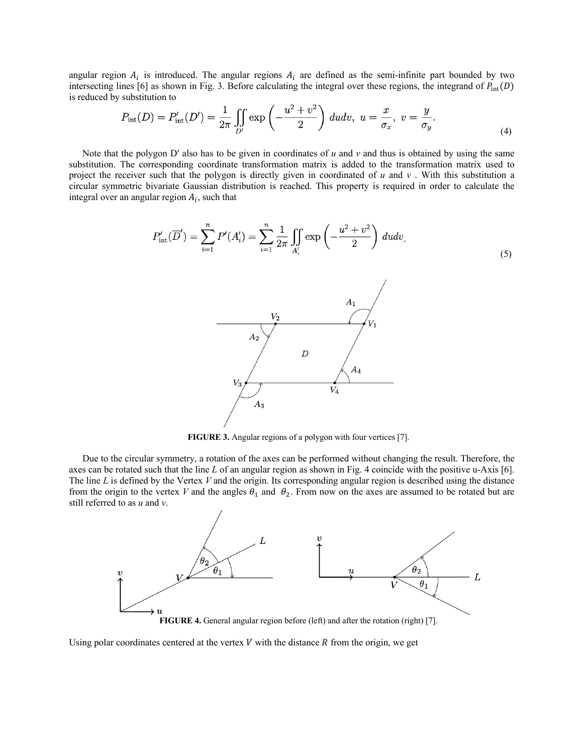angular region  $A_i$  is introduced. The angular regions  $A_i$  are defined as the semi-infinite part bounded by two intersecting lines [6] as shown in Fig. 3. Before calculating the integral over these regions, the integrand of  $P_{\text{int}}(D)$ is reduced by substitution to

$$
P_{\rm int}(D) = P'_{\rm int}(D') = \frac{1}{2\pi} \iint_{D'} \exp\left(-\frac{u^2 + v^2}{2}\right) du dv, \ u = \frac{x}{\sigma_x}, \ v = \frac{y}{\sigma_y}.
$$
\n(4)

Note that the polygon D' also has to be given in coordinates of  $u$  and  $v$  and thus is obtained by using the same substitution. The corresponding coordinate transformation matrix is added to the transformation matrix used to project the receiver such that the polygon is directly given in coordinated of *u* and *v* . With this substitution a circular symmetric bivariate Gaussian distribution is reached. This property is required in order to calculate the integral over an angular region  $A_i$ , such that

(5)

**FIGURE 3.** Angular regions of a polygon with four vertices [7].

 $A_3$ 

Due to the circular symmetry, a rotation of the axes can be performed without changing the result. Therefore, the axes can be rotated such that the line *L* of an angular region as shown in Fig. 4 coincide with the positive u-Axis [6]. The line *L* is defined by the Vertex *V* and the origin. Its corresponding angular region is described using the distance from the origin to the vertex *V* and the angles  $\theta_1$  and  $\theta_2$ . From now on the axes are assumed to be rotated but are still referred to as *u* and *v*.



Using polar coordinates centered at the vertex  $V$  with the distance  $R$  from the origin, we get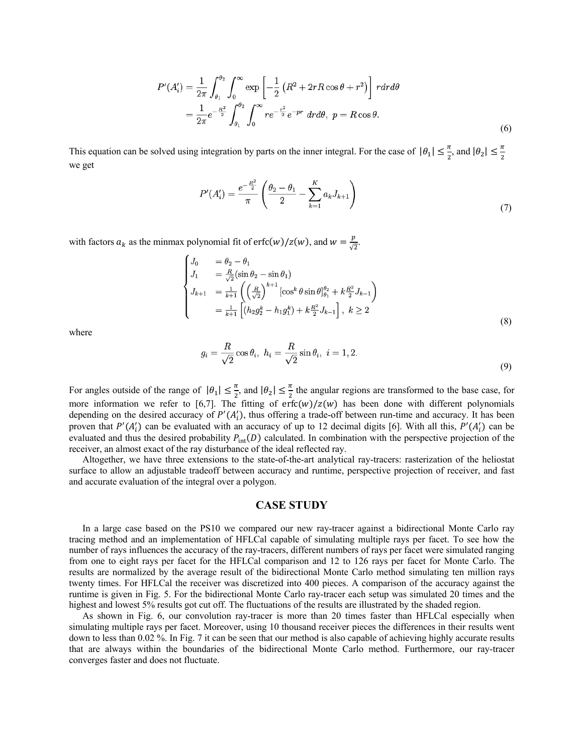$$
P'(A'_i) = \frac{1}{2\pi} \int_{\theta_1}^{\theta_2} \int_0^{\infty} \exp\left[ -\frac{1}{2} \left( R^2 + 2rR\cos\theta + r^2 \right) \right] r dr d\theta
$$
  
= 
$$
\frac{1}{2\pi} e^{-\frac{R^2}{2}} \int_{\theta_1}^{\theta_2} \int_0^{\infty} r e^{-\frac{r^2}{2}} e^{-pr} dr d\theta, \ p = R\cos\theta.
$$
 (6)

This equation can be solved using integration by parts on the inner integral. For the case of  $|\theta_1| \leq \frac{\pi}{2}$ , and  $|\theta_2| \leq \frac{\pi}{2}$ we get

$$
P'(A'_i) = \frac{e^{-\frac{R^2}{2}}}{\pi} \left( \frac{\theta_2 - \theta_1}{2} - \sum_{k=1}^K a_k J_{k+1} \right) \tag{7}
$$

with factors  $a_k$  as the minmax polynomial fit of erfc(w)/z(w), and  $w = \frac{p}{\sqrt{2}}$ .

$$
\begin{aligned}\nJ_0 &= \theta_2 - \theta_1 \\
J_1 &= \frac{R}{\sqrt{2}} (\sin \theta_2 - \sin \theta_1) \\
J_{k+1} &= \frac{1}{k+1} \left( \left( \frac{R}{\sqrt{2}} \right)^{k+1} [\cos^k \theta \sin \theta]_{\theta_1}^{\theta_2} + k \frac{R^2}{2} J_{k-1} \right) \\
&= \frac{1}{k+1} \left[ (h_2 g_2^k - h_1 g_1^k) + k \frac{R^2}{2} J_{k-1} \right], \ k \ge 2\n\end{aligned}
$$
\n(8)

where

$$
g_i = \frac{R}{\sqrt{2}} \cos \theta_i, \quad h_i = \frac{R}{\sqrt{2}} \sin \theta_i, \quad i = 1, 2. \tag{9}
$$

For angles outside of the range of  $|\theta_1| \leq \frac{\pi}{2}$ , and  $|\theta_2| \leq \frac{\pi}{2}$  the angular regions are transformed to the base case, for more information we refer to [6,7]. The fitting of  $erfc(w)/z(w)$  has been done with different polynomials depending on the desired accuracy of  $P'(A'_i)$ , thus offering a trade-off between run-time and accuracy. It has been proven that  $P'(A'_i)$  can be evaluated with an accuracy of up to 12 decimal digits [6]. With all this,  $P'(A'_i)$  can be evaluated and thus the desired probability  $P_{int}(D)$  calculated. In combination with the perspective projection of the receiver, an almost exact of the ray disturbance of the ideal reflected ray.

Altogether, we have three extensions to the state-of-the-art analytical ray-tracers: rasterization of the heliostat surface to allow an adjustable tradeoff between accuracy and runtime, perspective projection of receiver, and fast and accurate evaluation of the integral over a polygon.

### **CASE STUDY**

In a large case based on the PS10 we compared our new ray-tracer against a bidirectional Monte Carlo ray tracing method and an implementation of HFLCal capable of simulating multiple rays per facet. To see how the number of rays influences the accuracy of the ray-tracers, different numbers of rays per facet were simulated ranging from one to eight rays per facet for the HFLCal comparison and 12 to 126 rays per facet for Monte Carlo. The results are normalized by the average result of the bidirectional Monte Carlo method simulating ten million rays twenty times. For HFLCal the receiver was discretized into 400 pieces. A comparison of the accuracy against the runtime is given in Fig. 5. For the bidirectional Monte Carlo ray-tracer each setup was simulated 20 times and the highest and lowest 5% results got cut off. The fluctuations of the results are illustrated by the shaded region.

As shown in Fig. 6, our convolution ray-tracer is more than 20 times faster than HFLCal especially when simulating multiple rays per facet. Moreover, using 10 thousand receiver pieces the differences in their results went down to less than 0.02 %. In Fig. 7 it can be seen that our method is also capable of achieving highly accurate results that are always within the boundaries of the bidirectional Monte Carlo method. Furthermore, our ray-tracer converges faster and does not fluctuate.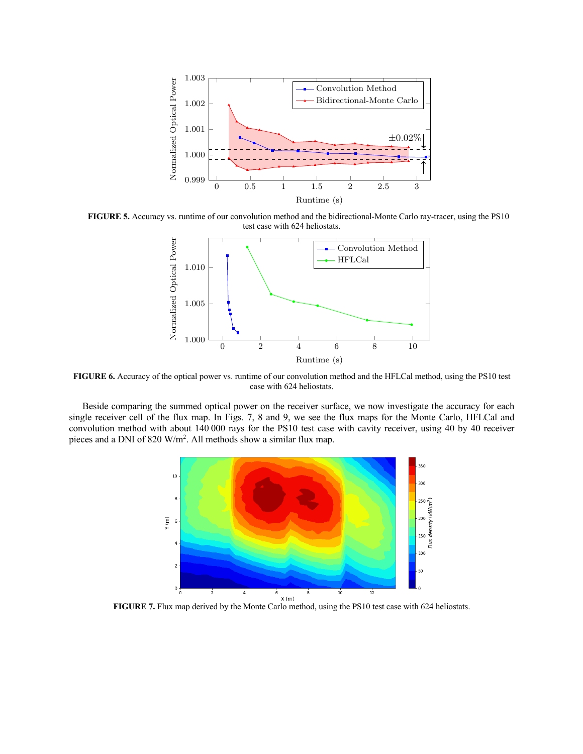

**FIGURE 5.** Accuracy vs. runtime of our convolution method and the bidirectional-Monte Carlo ray-tracer, using the PS10 test case with 624 heliostats.



**FIGURE 6.** Accuracy of the optical power vs. runtime of our convolution method and the HFLCal method, using the PS10 test case with 624 heliostats.

Beside comparing the summed optical power on the receiver surface, we now investigate the accuracy for each single receiver cell of the flux map. In Figs. 7, 8 and 9, we see the flux maps for the Monte Carlo, HFLCal and convolution method with about 140 000 rays for the PS10 test case with cavity receiver, using 40 by 40 receiver pieces and a DNI of 820 W/m<sup>2</sup>. All methods show a similar flux map.

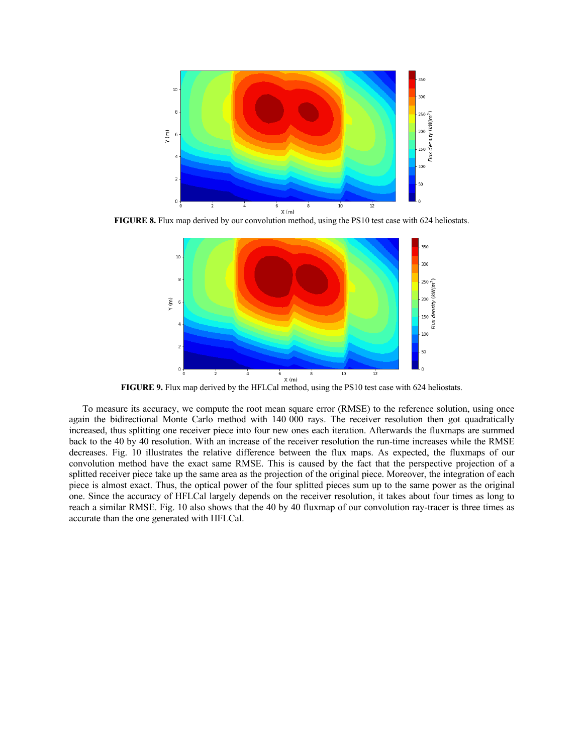

**FIGURE 8.** Flux map derived by our convolution method, using the PS10 test case with 624 heliostats.



To measure its accuracy, we compute the root mean square error (RMSE) to the reference solution, using once again the bidirectional Monte Carlo method with 140 000 rays. The receiver resolution then got quadratically increased, thus splitting one receiver piece into four new ones each iteration. Afterwards the fluxmaps are summed back to the 40 by 40 resolution. With an increase of the receiver resolution the run-time increases while the RMSE decreases. Fig. 10 illustrates the relative difference between the flux maps. As expected, the fluxmaps of our convolution method have the exact same RMSE. This is caused by the fact that the perspective projection of a splitted receiver piece take up the same area as the projection of the original piece. Moreover, the integration of each piece is almost exact. Thus, the optical power of the four splitted pieces sum up to the same power as the original one. Since the accuracy of HFLCal largely depends on the receiver resolution, it takes about four times as long to reach a similar RMSE. Fig. 10 also shows that the 40 by 40 fluxmap of our convolution ray-tracer is three times as accurate than the one generated with HFLCal.